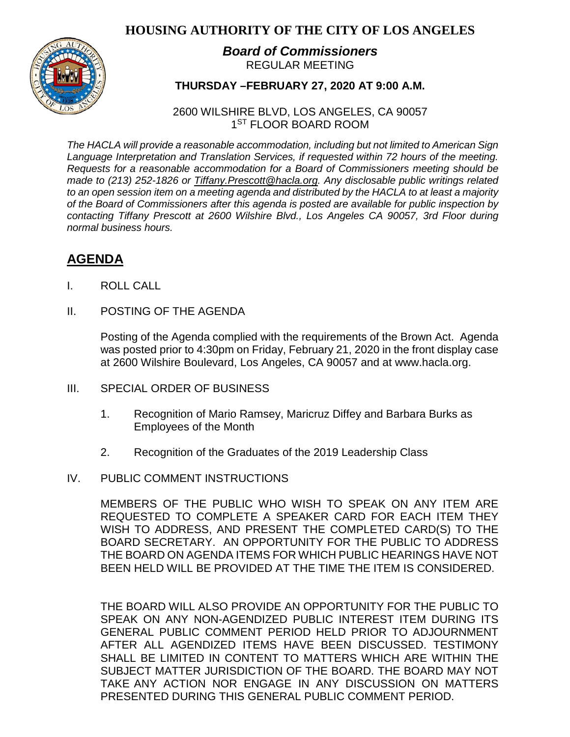## **HOUSING AUTHORITY OF THE CITY OF LOS ANGELES**



## *Board of Commissioners* REGULAR MEETING

## **THURSDAY –FEBRUARY 27, 2020 AT 9:00 A.M.**

2600 WILSHIRE BLVD, LOS ANGELES, CA 90057 1<sup>ST</sup> FLOOR BOARD ROOM

*The HACLA will provide a reasonable accommodation, including but not limited to American Sign Language Interpretation and Translation Services, if requested within 72 hours of the meeting. Requests for a reasonable accommodation for a Board of Commissioners meeting should be made to (213) 252-1826 or Tiffany.Prescott@hacla.org. Any disclosable public writings related to an open session item on a meeting agenda and distributed by the HACLA to at least a majority of the Board of Commissioners after this agenda is posted are available for public inspection by contacting Tiffany Prescott at 2600 Wilshire Blvd., Los Angeles CA 90057, 3rd Floor during normal business hours.*

# **AGENDA**

- I. ROLL CALL
- II. POSTING OF THE AGENDA

Posting of the Agenda complied with the requirements of the Brown Act. Agenda was posted prior to 4:30pm on Friday, February 21, 2020 in the front display case at 2600 Wilshire Boulevard, Los Angeles, CA 90057 and at [www.hacla.org.](http://www.hacla.org/)

- III. SPECIAL ORDER OF BUSINESS
	- 1. Recognition of Mario Ramsey, Maricruz Diffey and Barbara Burks as Employees of the Month
	- 2. Recognition of the Graduates of the 2019 Leadership Class
- IV. PUBLIC COMMENT INSTRUCTIONS

MEMBERS OF THE PUBLIC WHO WISH TO SPEAK ON ANY ITEM ARE REQUESTED TO COMPLETE A SPEAKER CARD FOR EACH ITEM THEY WISH TO ADDRESS, AND PRESENT THE COMPLETED CARD(S) TO THE BOARD SECRETARY. AN OPPORTUNITY FOR THE PUBLIC TO ADDRESS THE BOARD ON AGENDA ITEMS FOR WHICH PUBLIC HEARINGS HAVE NOT BEEN HELD WILL BE PROVIDED AT THE TIME THE ITEM IS CONSIDERED.

THE BOARD WILL ALSO PROVIDE AN OPPORTUNITY FOR THE PUBLIC TO SPEAK ON ANY NON-AGENDIZED PUBLIC INTEREST ITEM DURING ITS GENERAL PUBLIC COMMENT PERIOD HELD PRIOR TO ADJOURNMENT AFTER ALL AGENDIZED ITEMS HAVE BEEN DISCUSSED. TESTIMONY SHALL BE LIMITED IN CONTENT TO MATTERS WHICH ARE WITHIN THE SUBJECT MATTER JURISDICTION OF THE BOARD. THE BOARD MAY NOT TAKE ANY ACTION NOR ENGAGE IN ANY DISCUSSION ON MATTERS PRESENTED DURING THIS GENERAL PUBLIC COMMENT PERIOD.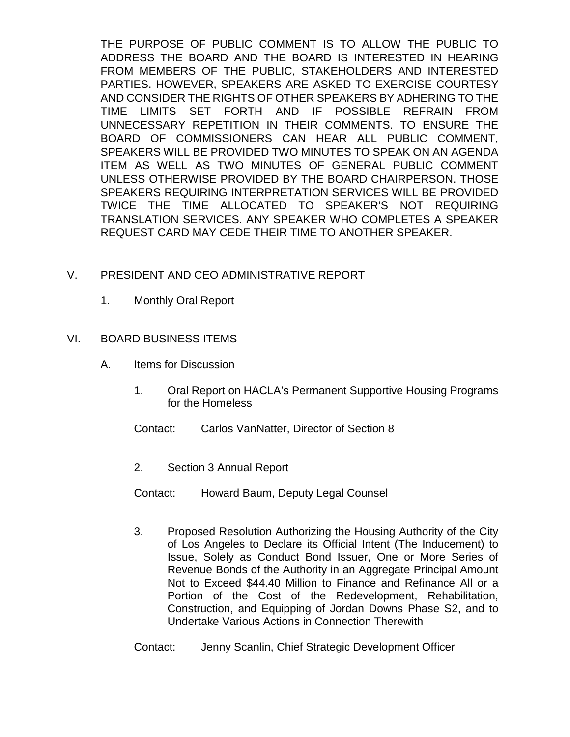THE PURPOSE OF PUBLIC COMMENT IS TO ALLOW THE PUBLIC TO ADDRESS THE BOARD AND THE BOARD IS INTERESTED IN HEARING FROM MEMBERS OF THE PUBLIC, STAKEHOLDERS AND INTERESTED PARTIES. HOWEVER, SPEAKERS ARE ASKED TO EXERCISE COURTESY AND CONSIDER THE RIGHTS OF OTHER SPEAKERS BY ADHERING TO THE TIME LIMITS SET FORTH AND IF POSSIBLE REFRAIN FROM UNNECESSARY REPETITION IN THEIR COMMENTS. TO ENSURE THE BOARD OF COMMISSIONERS CAN HEAR ALL PUBLIC COMMENT, SPEAKERS WILL BE PROVIDED TWO MINUTES TO SPEAK ON AN AGENDA ITEM AS WELL AS TWO MINUTES OF GENERAL PUBLIC COMMENT UNLESS OTHERWISE PROVIDED BY THE BOARD CHAIRPERSON. THOSE SPEAKERS REQUIRING INTERPRETATION SERVICES WILL BE PROVIDED TWICE THE TIME ALLOCATED TO SPEAKER'S NOT REQUIRING TRANSLATION SERVICES. ANY SPEAKER WHO COMPLETES A SPEAKER REQUEST CARD MAY CEDE THEIR TIME TO ANOTHER SPEAKER.

#### V. PRESIDENT AND CEO ADMINISTRATIVE REPORT

1. Monthly Oral Report

#### VI. BOARD BUSINESS ITEMS

- A. Items for Discussion
	- 1. Oral Report on HACLA's Permanent Supportive Housing Programs for the Homeless
	- Contact: Carlos VanNatter, Director of Section 8
	- 2. Section 3 Annual Report
	- Contact: Howard Baum, Deputy Legal Counsel
	- 3. Proposed Resolution Authorizing the Housing Authority of the City of Los Angeles to Declare its Official Intent (The Inducement) to Issue, Solely as Conduct Bond Issuer, One or More Series of Revenue Bonds of the Authority in an Aggregate Principal Amount Not to Exceed \$44.40 Million to Finance and Refinance All or a Portion of the Cost of the Redevelopment, Rehabilitation, Construction, and Equipping of Jordan Downs Phase S2, and to Undertake Various Actions in Connection Therewith
	- Contact: Jenny Scanlin, Chief Strategic Development Officer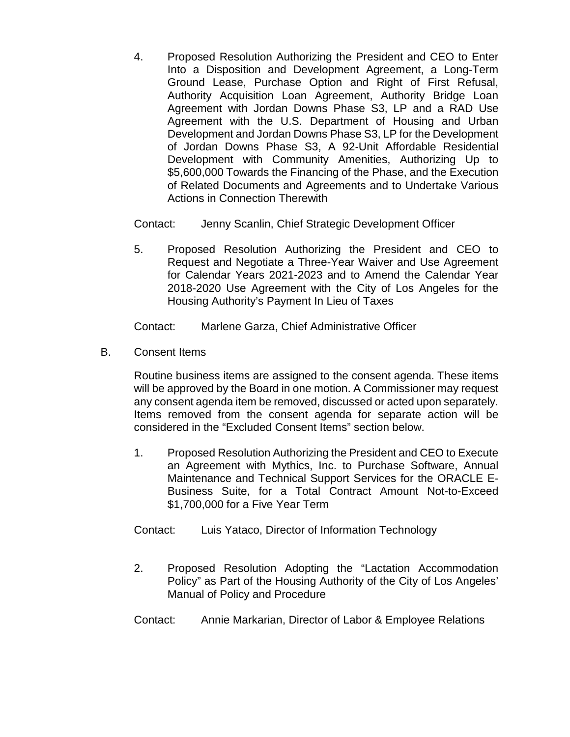4. Proposed Resolution Authorizing the President and CEO to Enter Into a Disposition and Development Agreement, a Long-Term Ground Lease, Purchase Option and Right of First Refusal, Authority Acquisition Loan Agreement, Authority Bridge Loan Agreement with Jordan Downs Phase S3, LP and a RAD Use Agreement with the U.S. Department of Housing and Urban Development and Jordan Downs Phase S3, LP for the Development of Jordan Downs Phase S3, A 92-Unit Affordable Residential Development with Community Amenities, Authorizing Up to \$5,600,000 Towards the Financing of the Phase, and the Execution of Related Documents and Agreements and to Undertake Various Actions in Connection Therewith

Contact: Jenny Scanlin, Chief Strategic Development Officer

5. Proposed Resolution Authorizing the President and CEO to Request and Negotiate a Three-Year Waiver and Use Agreement for Calendar Years 2021-2023 and to Amend the Calendar Year 2018-2020 Use Agreement with the City of Los Angeles for the Housing Authority's Payment In Lieu of Taxes

Contact: Marlene Garza, Chief Administrative Officer

B. Consent Items

Routine business items are assigned to the consent agenda. These items will be approved by the Board in one motion. A Commissioner may request any consent agenda item be removed, discussed or acted upon separately. Items removed from the consent agenda for separate action will be considered in the "Excluded Consent Items" section below.

- 1. Proposed Resolution Authorizing the President and CEO to Execute an Agreement with Mythics, Inc. to Purchase Software, Annual Maintenance and Technical Support Services for the ORACLE E-Business Suite, for a Total Contract Amount Not-to-Exceed \$1,700,000 for a Five Year Term
- Contact: Luis Yataco, Director of Information Technology
- 2. Proposed Resolution Adopting the "Lactation Accommodation Policy" as Part of the Housing Authority of the City of Los Angeles' Manual of Policy and Procedure
- Contact: Annie Markarian, Director of Labor & Employee Relations